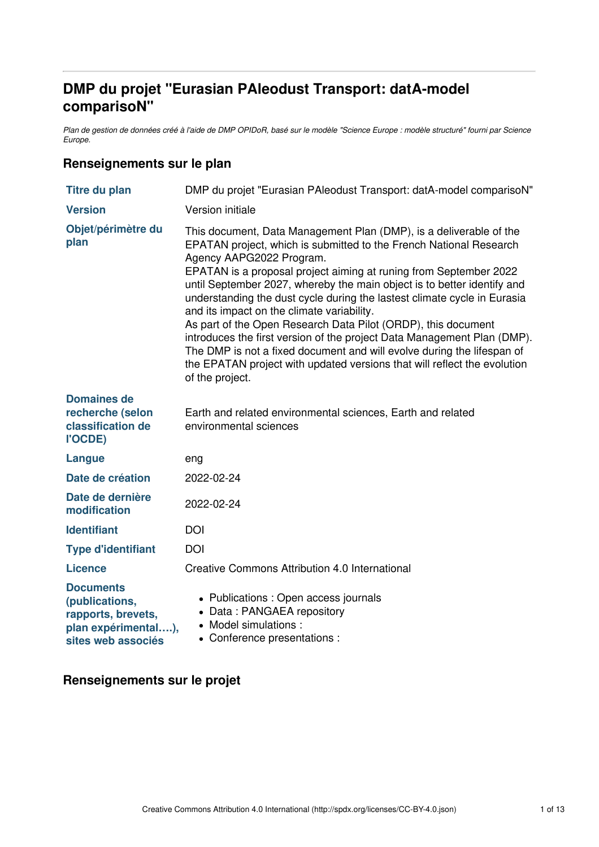# **DMP du projet "Eurasian PAleodust Transport: datA-model comparisoN"**

Plan de gestion de données créé à l'aide de DMP OPIDoR, basé sur le modèle "Science Europe : modèle structuré" fourni par Science *Europe.*

## **Renseignements sur le plan**

| <b>Titre du plan</b>                                                                                  | DMP du projet "Eurasian PAleodust Transport: datA-model comparisoN"                                                                                                                                                                                                                                                                                                                                                                                                                                                                                                                                                                                                                                                                                                 |  |
|-------------------------------------------------------------------------------------------------------|---------------------------------------------------------------------------------------------------------------------------------------------------------------------------------------------------------------------------------------------------------------------------------------------------------------------------------------------------------------------------------------------------------------------------------------------------------------------------------------------------------------------------------------------------------------------------------------------------------------------------------------------------------------------------------------------------------------------------------------------------------------------|--|
| <b>Version</b>                                                                                        | Version initiale                                                                                                                                                                                                                                                                                                                                                                                                                                                                                                                                                                                                                                                                                                                                                    |  |
| Objet/périmètre du<br>plan                                                                            | This document, Data Management Plan (DMP), is a deliverable of the<br>EPATAN project, which is submitted to the French National Research<br>Agency AAPG2022 Program.<br>EPATAN is a proposal project aiming at runing from September 2022<br>until September 2027, whereby the main object is to better identify and<br>understanding the dust cycle during the lastest climate cycle in Eurasia<br>and its impact on the climate variability.<br>As part of the Open Research Data Pilot (ORDP), this document<br>introduces the first version of the project Data Management Plan (DMP).<br>The DMP is not a fixed document and will evolve during the lifespan of<br>the EPATAN project with updated versions that will reflect the evolution<br>of the project. |  |
| <b>Domaines de</b><br>recherche (selon<br>classification de<br>l'OCDE)                                | Earth and related environmental sciences, Earth and related<br>environmental sciences                                                                                                                                                                                                                                                                                                                                                                                                                                                                                                                                                                                                                                                                               |  |
| Langue                                                                                                | eng                                                                                                                                                                                                                                                                                                                                                                                                                                                                                                                                                                                                                                                                                                                                                                 |  |
| Date de création                                                                                      | 2022-02-24                                                                                                                                                                                                                                                                                                                                                                                                                                                                                                                                                                                                                                                                                                                                                          |  |
| Date de dernière<br>modification                                                                      | 2022-02-24                                                                                                                                                                                                                                                                                                                                                                                                                                                                                                                                                                                                                                                                                                                                                          |  |
| <b>Identifiant</b>                                                                                    | <b>DOI</b>                                                                                                                                                                                                                                                                                                                                                                                                                                                                                                                                                                                                                                                                                                                                                          |  |
| <b>Type d'identifiant</b>                                                                             | <b>DOI</b>                                                                                                                                                                                                                                                                                                                                                                                                                                                                                                                                                                                                                                                                                                                                                          |  |
| <b>Licence</b>                                                                                        | Creative Commons Attribution 4.0 International                                                                                                                                                                                                                                                                                                                                                                                                                                                                                                                                                                                                                                                                                                                      |  |
| <b>Documents</b><br>(publications,<br>rapports, brevets,<br>plan expérimental),<br>sites web associés | • Publications : Open access journals<br>• Data: PANGAEA repository<br>• Model simulations :<br>• Conference presentations :                                                                                                                                                                                                                                                                                                                                                                                                                                                                                                                                                                                                                                        |  |

## **Renseignements sur le projet**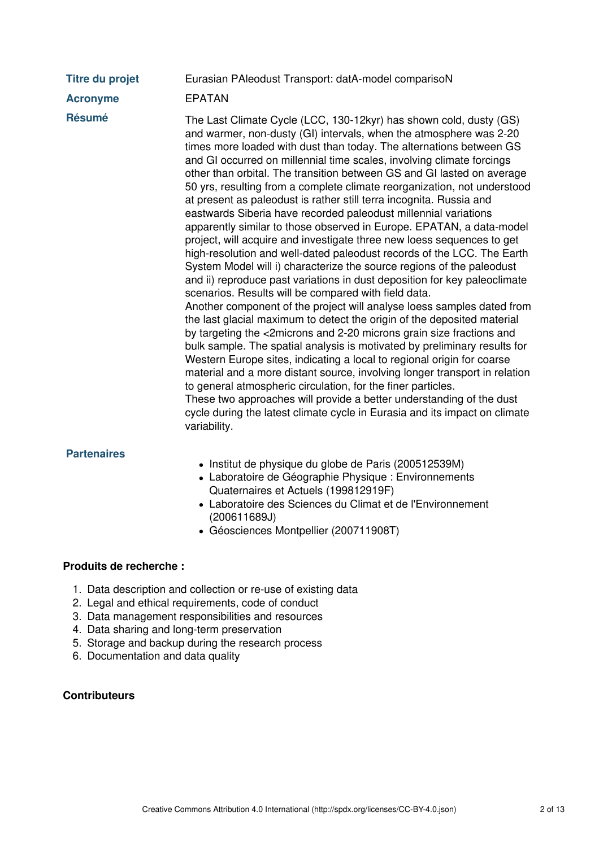| <b>Titre du projet</b> | Eurasian PAleodust Transport: datA-model comparisoN                                                                                                                                                                                                                                                                                                                                                                                                                                                                                                                                                                                                                                                                                                                                                                                                                                                                                                                                                                                                                                                                                                                                                                                                                                                                                                                                                                                                                                                                                                                                                                                                                                                                                        |
|------------------------|--------------------------------------------------------------------------------------------------------------------------------------------------------------------------------------------------------------------------------------------------------------------------------------------------------------------------------------------------------------------------------------------------------------------------------------------------------------------------------------------------------------------------------------------------------------------------------------------------------------------------------------------------------------------------------------------------------------------------------------------------------------------------------------------------------------------------------------------------------------------------------------------------------------------------------------------------------------------------------------------------------------------------------------------------------------------------------------------------------------------------------------------------------------------------------------------------------------------------------------------------------------------------------------------------------------------------------------------------------------------------------------------------------------------------------------------------------------------------------------------------------------------------------------------------------------------------------------------------------------------------------------------------------------------------------------------------------------------------------------------|
| <b>Acronyme</b>        | <b>EPATAN</b>                                                                                                                                                                                                                                                                                                                                                                                                                                                                                                                                                                                                                                                                                                                                                                                                                                                                                                                                                                                                                                                                                                                                                                                                                                                                                                                                                                                                                                                                                                                                                                                                                                                                                                                              |
| <b>Résumé</b>          | The Last Climate Cycle (LCC, 130-12kyr) has shown cold, dusty (GS)<br>and warmer, non-dusty (GI) intervals, when the atmosphere was 2-20<br>times more loaded with dust than today. The alternations between GS<br>and GI occurred on millennial time scales, involving climate forcings<br>other than orbital. The transition between GS and GI lasted on average<br>50 yrs, resulting from a complete climate reorganization, not understood<br>at present as paleodust is rather still terra incognita. Russia and<br>eastwards Siberia have recorded paleodust millennial variations<br>apparently similar to those observed in Europe. EPATAN, a data-model<br>project, will acquire and investigate three new loess sequences to get<br>high-resolution and well-dated paleodust records of the LCC. The Earth<br>System Model will i) characterize the source regions of the paleodust<br>and ii) reproduce past variations in dust deposition for key paleoclimate<br>scenarios. Results will be compared with field data.<br>Another component of the project will analyse loess samples dated from<br>the last glacial maximum to detect the origin of the deposited material<br>by targeting the <2microns and 2-20 microns grain size fractions and<br>bulk sample. The spatial analysis is motivated by preliminary results for<br>Western Europe sites, indicating a local to regional origin for coarse<br>material and a more distant source, involving longer transport in relation<br>to general atmospheric circulation, for the finer particles.<br>These two approaches will provide a better understanding of the dust<br>cycle during the latest climate cycle in Eurasia and its impact on climate<br>variability. |

#### **Partenaires**

- Institut de physique du globe de Paris (200512539M)
- Laboratoire de Géographie Physique : Environnements Quaternaires et Actuels (199812919F)
- Laboratoire des Sciences du Climat et de l'Environnement (200611689J)
- Géosciences Montpellier (200711908T)

#### **Produits de recherche :**

- 1. Data description and collection or re-use of existing data
- 2. Legal and ethical requirements, code of conduct
- 3. Data management responsibilities and resources
- 4. Data sharing and long-term preservation
- 5. Storage and backup during the research process
- 6. Documentation and data quality

## **Contributeurs**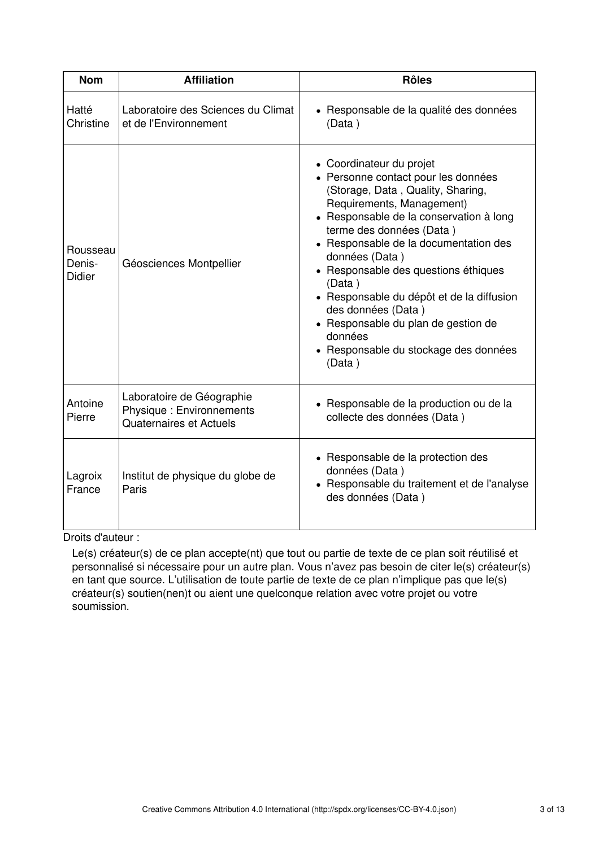| <b>Nom</b>                          | <b>Affiliation</b>                                                               | <b>Rôles</b>                                                                                                                                                                                                                                                                                                                                                                                                                                                                                  |
|-------------------------------------|----------------------------------------------------------------------------------|-----------------------------------------------------------------------------------------------------------------------------------------------------------------------------------------------------------------------------------------------------------------------------------------------------------------------------------------------------------------------------------------------------------------------------------------------------------------------------------------------|
| Hatté<br>Christine                  | Laboratoire des Sciences du Climat<br>et de l'Environnement                      | • Responsable de la qualité des données<br>(Data)                                                                                                                                                                                                                                                                                                                                                                                                                                             |
| Rousseau<br>Denis-<br><b>Didier</b> | Géosciences Montpellier                                                          | • Coordinateur du projet<br>• Personne contact pour les données<br>(Storage, Data, Quality, Sharing,<br>Requirements, Management)<br>• Responsable de la conservation à long<br>terme des données (Data)<br>• Responsable de la documentation des<br>données (Data)<br>• Responsable des questions éthiques<br>(Data)<br>· Responsable du dépôt et de la diffusion<br>des données (Data)<br>• Responsable du plan de gestion de<br>données<br>• Responsable du stockage des données<br>(Data) |
| Antoine<br>Pierre                   | Laboratoire de Géographie<br>Physique: Environnements<br>Quaternaires et Actuels | • Responsable de la production ou de la<br>collecte des données (Data)                                                                                                                                                                                                                                                                                                                                                                                                                        |
| Lagroix<br>France                   | Institut de physique du globe de<br>Paris                                        | • Responsable de la protection des<br>données (Data)<br>• Responsable du traitement et de l'analyse<br>des données (Data)                                                                                                                                                                                                                                                                                                                                                                     |

Droits d'auteur :

Le(s) créateur(s) de ce plan accepte(nt) que tout ou partie de texte de ce plan soit réutilisé et personnalisé si nécessaire pour un autre plan. Vous n'avez pas besoin de citer le(s) créateur(s) en tant que source. L'utilisation de toute partie de texte de ce plan n'implique pas que le(s) créateur(s) soutien(nen)t ou aient une quelconque relation avec votre projet ou votre soumission.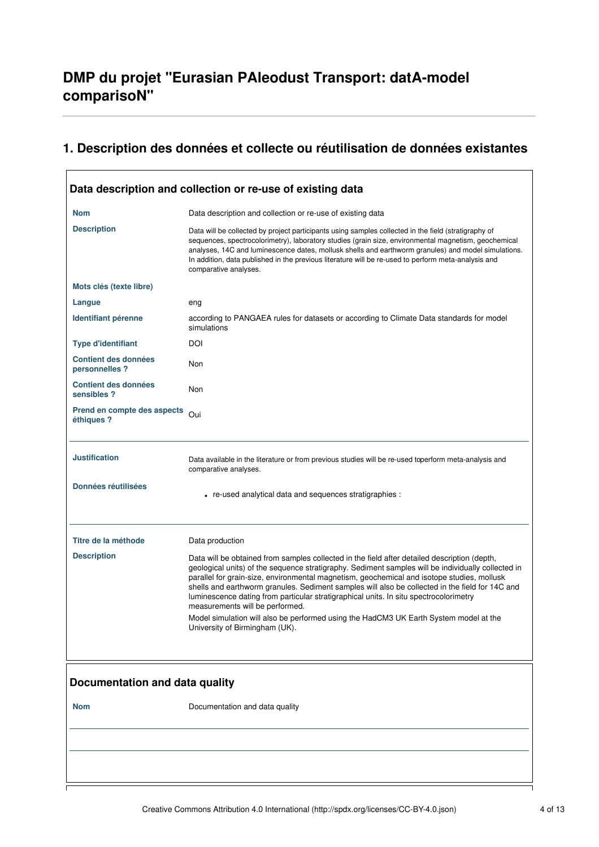## **1. Description des données et collecte ou réutilisation de données existantes**

| <b>Nom</b><br>Data description and collection or re-use of existing data<br><b>Description</b><br>Data will be collected by project participants using samples collected in the field (stratigraphy of<br>sequences, spectrocolorimetry), laboratory studies (grain size, environmental magnetism, geochemical<br>analyses, 14C and luminescence dates, mollusk shells and earthworm granules) and model simulations.<br>In addition, data published in the previous literature will be re-used to perform meta-analysis and<br>comparative analyses.<br>Mots clés (texte libre)<br>Langue<br>eng<br>Identifiant pérenne<br>according to PANGAEA rules for datasets or according to Climate Data standards for model<br>simulations<br><b>Type d'identifiant</b><br><b>DOI</b><br><b>Contient des données</b><br>Non<br>personnelles ?<br><b>Contient des données</b><br>Non<br>sensibles ?<br>Prend en compte des aspects<br>Oui<br>éthiques ?<br><b>Justification</b><br>Data available in the literature or from previous studies will be re-used toperform meta-analysis and<br>comparative analyses.<br><b>Données réutilisées</b><br>• re-used analytical data and sequences stratigraphies :<br>Titre de la méthode<br>Data production<br><b>Description</b><br>Data will be obtained from samples collected in the field after detailed description (depth,<br>geological units) of the sequence stratigraphy. Sediment samples will be individually collected in<br>parallel for grain-size, environmental magnetism, geochemical and isotope studies, mollusk<br>shells and earthworm granules. Sediment samples will also be collected in the field for 14C and<br>luminescence dating from particular stratigraphical units. In situ spectrocolorimetry<br>measurements will be performed.<br>Model simulation will also be performed using the HadCM3 UK Earth System model at the<br>University of Birmingham (UK).<br>Documentation and data quality<br><b>Nom</b><br>Documentation and data quality | Data description and collection or re-use of existing data |  |
|---------------------------------------------------------------------------------------------------------------------------------------------------------------------------------------------------------------------------------------------------------------------------------------------------------------------------------------------------------------------------------------------------------------------------------------------------------------------------------------------------------------------------------------------------------------------------------------------------------------------------------------------------------------------------------------------------------------------------------------------------------------------------------------------------------------------------------------------------------------------------------------------------------------------------------------------------------------------------------------------------------------------------------------------------------------------------------------------------------------------------------------------------------------------------------------------------------------------------------------------------------------------------------------------------------------------------------------------------------------------------------------------------------------------------------------------------------------------------------------------------------------------------------------------------------------------------------------------------------------------------------------------------------------------------------------------------------------------------------------------------------------------------------------------------------------------------------------------------------------------------------------------------------------------------------------------------------------------------------------------------------------------|------------------------------------------------------------|--|
|                                                                                                                                                                                                                                                                                                                                                                                                                                                                                                                                                                                                                                                                                                                                                                                                                                                                                                                                                                                                                                                                                                                                                                                                                                                                                                                                                                                                                                                                                                                                                                                                                                                                                                                                                                                                                                                                                                                                                                                                                     |                                                            |  |
|                                                                                                                                                                                                                                                                                                                                                                                                                                                                                                                                                                                                                                                                                                                                                                                                                                                                                                                                                                                                                                                                                                                                                                                                                                                                                                                                                                                                                                                                                                                                                                                                                                                                                                                                                                                                                                                                                                                                                                                                                     |                                                            |  |
|                                                                                                                                                                                                                                                                                                                                                                                                                                                                                                                                                                                                                                                                                                                                                                                                                                                                                                                                                                                                                                                                                                                                                                                                                                                                                                                                                                                                                                                                                                                                                                                                                                                                                                                                                                                                                                                                                                                                                                                                                     |                                                            |  |
|                                                                                                                                                                                                                                                                                                                                                                                                                                                                                                                                                                                                                                                                                                                                                                                                                                                                                                                                                                                                                                                                                                                                                                                                                                                                                                                                                                                                                                                                                                                                                                                                                                                                                                                                                                                                                                                                                                                                                                                                                     |                                                            |  |
|                                                                                                                                                                                                                                                                                                                                                                                                                                                                                                                                                                                                                                                                                                                                                                                                                                                                                                                                                                                                                                                                                                                                                                                                                                                                                                                                                                                                                                                                                                                                                                                                                                                                                                                                                                                                                                                                                                                                                                                                                     |                                                            |  |
|                                                                                                                                                                                                                                                                                                                                                                                                                                                                                                                                                                                                                                                                                                                                                                                                                                                                                                                                                                                                                                                                                                                                                                                                                                                                                                                                                                                                                                                                                                                                                                                                                                                                                                                                                                                                                                                                                                                                                                                                                     |                                                            |  |
|                                                                                                                                                                                                                                                                                                                                                                                                                                                                                                                                                                                                                                                                                                                                                                                                                                                                                                                                                                                                                                                                                                                                                                                                                                                                                                                                                                                                                                                                                                                                                                                                                                                                                                                                                                                                                                                                                                                                                                                                                     |                                                            |  |
|                                                                                                                                                                                                                                                                                                                                                                                                                                                                                                                                                                                                                                                                                                                                                                                                                                                                                                                                                                                                                                                                                                                                                                                                                                                                                                                                                                                                                                                                                                                                                                                                                                                                                                                                                                                                                                                                                                                                                                                                                     |                                                            |  |
|                                                                                                                                                                                                                                                                                                                                                                                                                                                                                                                                                                                                                                                                                                                                                                                                                                                                                                                                                                                                                                                                                                                                                                                                                                                                                                                                                                                                                                                                                                                                                                                                                                                                                                                                                                                                                                                                                                                                                                                                                     |                                                            |  |
|                                                                                                                                                                                                                                                                                                                                                                                                                                                                                                                                                                                                                                                                                                                                                                                                                                                                                                                                                                                                                                                                                                                                                                                                                                                                                                                                                                                                                                                                                                                                                                                                                                                                                                                                                                                                                                                                                                                                                                                                                     |                                                            |  |
|                                                                                                                                                                                                                                                                                                                                                                                                                                                                                                                                                                                                                                                                                                                                                                                                                                                                                                                                                                                                                                                                                                                                                                                                                                                                                                                                                                                                                                                                                                                                                                                                                                                                                                                                                                                                                                                                                                                                                                                                                     |                                                            |  |
|                                                                                                                                                                                                                                                                                                                                                                                                                                                                                                                                                                                                                                                                                                                                                                                                                                                                                                                                                                                                                                                                                                                                                                                                                                                                                                                                                                                                                                                                                                                                                                                                                                                                                                                                                                                                                                                                                                                                                                                                                     |                                                            |  |
|                                                                                                                                                                                                                                                                                                                                                                                                                                                                                                                                                                                                                                                                                                                                                                                                                                                                                                                                                                                                                                                                                                                                                                                                                                                                                                                                                                                                                                                                                                                                                                                                                                                                                                                                                                                                                                                                                                                                                                                                                     |                                                            |  |
|                                                                                                                                                                                                                                                                                                                                                                                                                                                                                                                                                                                                                                                                                                                                                                                                                                                                                                                                                                                                                                                                                                                                                                                                                                                                                                                                                                                                                                                                                                                                                                                                                                                                                                                                                                                                                                                                                                                                                                                                                     |                                                            |  |
|                                                                                                                                                                                                                                                                                                                                                                                                                                                                                                                                                                                                                                                                                                                                                                                                                                                                                                                                                                                                                                                                                                                                                                                                                                                                                                                                                                                                                                                                                                                                                                                                                                                                                                                                                                                                                                                                                                                                                                                                                     |                                                            |  |
|                                                                                                                                                                                                                                                                                                                                                                                                                                                                                                                                                                                                                                                                                                                                                                                                                                                                                                                                                                                                                                                                                                                                                                                                                                                                                                                                                                                                                                                                                                                                                                                                                                                                                                                                                                                                                                                                                                                                                                                                                     |                                                            |  |
|                                                                                                                                                                                                                                                                                                                                                                                                                                                                                                                                                                                                                                                                                                                                                                                                                                                                                                                                                                                                                                                                                                                                                                                                                                                                                                                                                                                                                                                                                                                                                                                                                                                                                                                                                                                                                                                                                                                                                                                                                     |                                                            |  |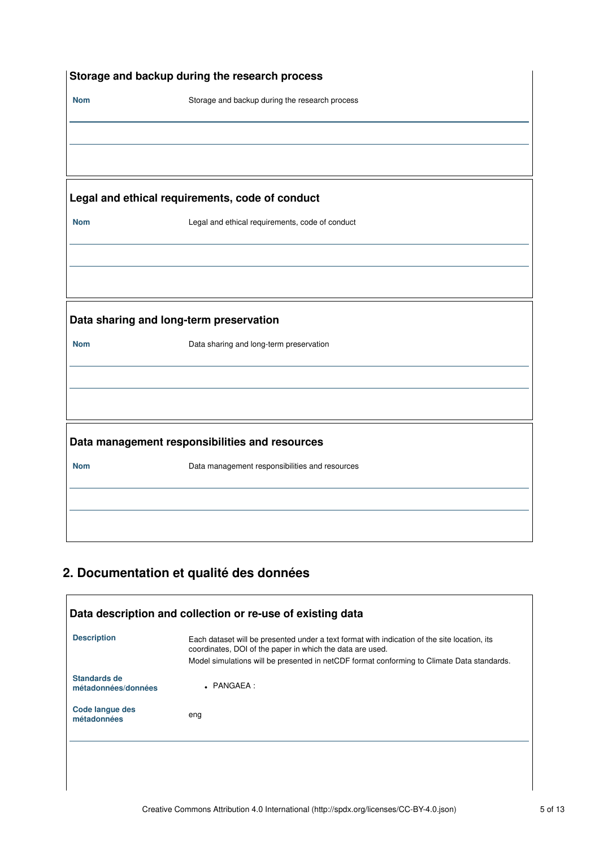| Storage and backup during the research process |                                                 |  |
|------------------------------------------------|-------------------------------------------------|--|
| <b>Nom</b>                                     | Storage and backup during the research process  |  |
|                                                |                                                 |  |
|                                                |                                                 |  |
|                                                |                                                 |  |
|                                                | Legal and ethical requirements, code of conduct |  |
| <b>Nom</b>                                     | Legal and ethical requirements, code of conduct |  |
|                                                |                                                 |  |
|                                                |                                                 |  |
|                                                |                                                 |  |
| Data sharing and long-term preservation        |                                                 |  |
| <b>Nom</b>                                     | Data sharing and long-term preservation         |  |
|                                                |                                                 |  |
|                                                |                                                 |  |
|                                                |                                                 |  |
| Data management responsibilities and resources |                                                 |  |
| <b>Nom</b>                                     | Data management responsibilities and resources  |  |
|                                                |                                                 |  |
|                                                |                                                 |  |
|                                                |                                                 |  |

# **2. Documentation et qualité des données**

 $\overline{\phantom{a}}$ 

|                                     | coordinates, DOI of the paper in which the data are used.                                  |
|-------------------------------------|--------------------------------------------------------------------------------------------|
|                                     | Model simulations will be presented in netCDF format conforming to Climate Data standards. |
| Standards de<br>métadonnées/données | $\bullet$ PANGAEA :                                                                        |
| Code langue des<br>métadonnées      | eng                                                                                        |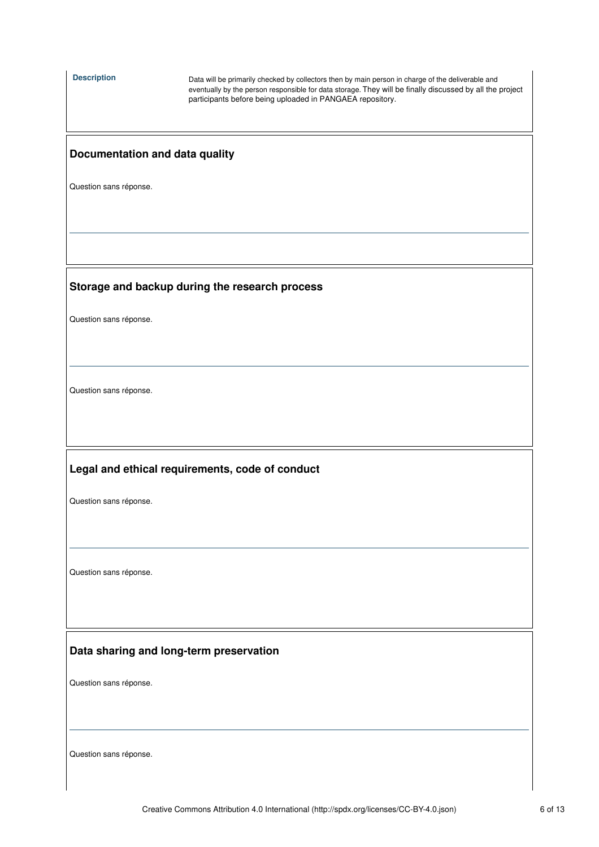| <b>Description</b>                      | Data will be primarily checked by collectors then by main person in charge of the deliverable and<br>eventually by the person responsible for data storage. They will be finally discussed by all the project<br>participants before being uploaded in PANGAEA repository. |  |
|-----------------------------------------|----------------------------------------------------------------------------------------------------------------------------------------------------------------------------------------------------------------------------------------------------------------------------|--|
| Documentation and data quality          |                                                                                                                                                                                                                                                                            |  |
| Question sans réponse.                  |                                                                                                                                                                                                                                                                            |  |
|                                         |                                                                                                                                                                                                                                                                            |  |
|                                         |                                                                                                                                                                                                                                                                            |  |
|                                         | Storage and backup during the research process                                                                                                                                                                                                                             |  |
| Question sans réponse.                  |                                                                                                                                                                                                                                                                            |  |
|                                         |                                                                                                                                                                                                                                                                            |  |
| Question sans réponse.                  |                                                                                                                                                                                                                                                                            |  |
|                                         |                                                                                                                                                                                                                                                                            |  |
|                                         | Legal and ethical requirements, code of conduct                                                                                                                                                                                                                            |  |
| Question sans réponse.                  |                                                                                                                                                                                                                                                                            |  |
|                                         |                                                                                                                                                                                                                                                                            |  |
| Question sans réponse.                  |                                                                                                                                                                                                                                                                            |  |
|                                         |                                                                                                                                                                                                                                                                            |  |
| Data sharing and long-term preservation |                                                                                                                                                                                                                                                                            |  |
|                                         |                                                                                                                                                                                                                                                                            |  |
| Question sans réponse.                  |                                                                                                                                                                                                                                                                            |  |
|                                         |                                                                                                                                                                                                                                                                            |  |
| Question sans réponse.                  |                                                                                                                                                                                                                                                                            |  |
|                                         |                                                                                                                                                                                                                                                                            |  |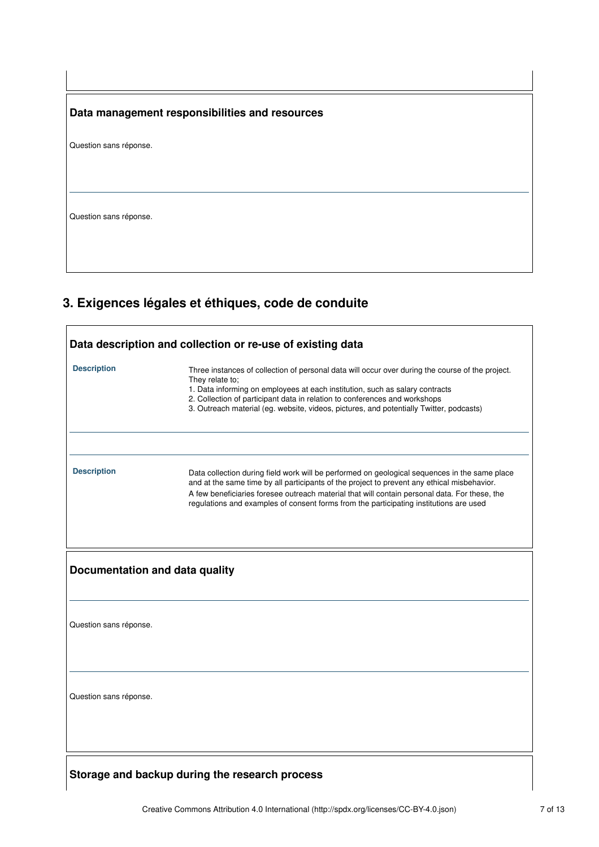|  |  | Data management responsibilities and resources |  |
|--|--|------------------------------------------------|--|
|--|--|------------------------------------------------|--|

Question sans réponse.

Question sans réponse.

## **3. Exigences légales et éthiques, code de conduite**

| Data description and collection or re-use of existing data |                                                                                                                                                                                                                                                                                                                                                                                         |  |
|------------------------------------------------------------|-----------------------------------------------------------------------------------------------------------------------------------------------------------------------------------------------------------------------------------------------------------------------------------------------------------------------------------------------------------------------------------------|--|
| <b>Description</b>                                         | Three instances of collection of personal data will occur over during the course of the project.<br>They relate to;<br>1. Data informing on employees at each institution, such as salary contracts<br>2. Collection of participant data in relation to conferences and workshops<br>3. Outreach material (eg. website, videos, pictures, and potentially Twitter, podcasts)            |  |
| <b>Description</b>                                         | Data collection during field work will be performed on geological sequences in the same place<br>and at the same time by all participants of the project to prevent any ethical misbehavior.<br>A few beneficiaries foresee outreach material that will contain personal data. For these, the<br>regulations and examples of consent forms from the participating institutions are used |  |
| Documentation and data quality                             |                                                                                                                                                                                                                                                                                                                                                                                         |  |
| Question sans réponse.                                     |                                                                                                                                                                                                                                                                                                                                                                                         |  |
| Question sans réponse.                                     |                                                                                                                                                                                                                                                                                                                                                                                         |  |
| Storage and backup during the research process             |                                                                                                                                                                                                                                                                                                                                                                                         |  |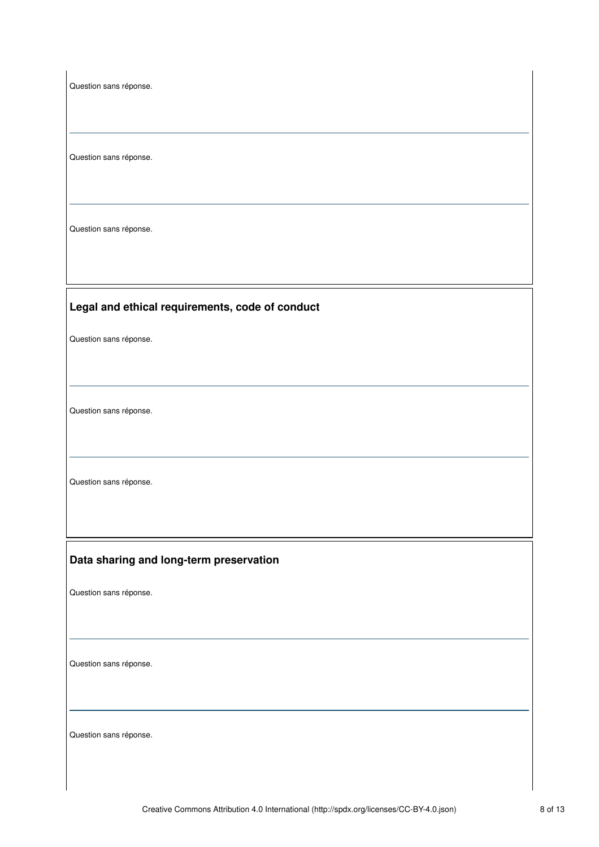| Question sans réponse.                          |
|-------------------------------------------------|
| Question sans réponse.                          |
| Question sans réponse.                          |
| Legal and ethical requirements, code of conduct |
| Question sans réponse.                          |
| Question sans réponse.                          |
| Question sans réponse.                          |
| Data sharing and long-term preservation         |
| Question sans réponse.                          |
| Question sans réponse.                          |
| Question sans réponse.                          |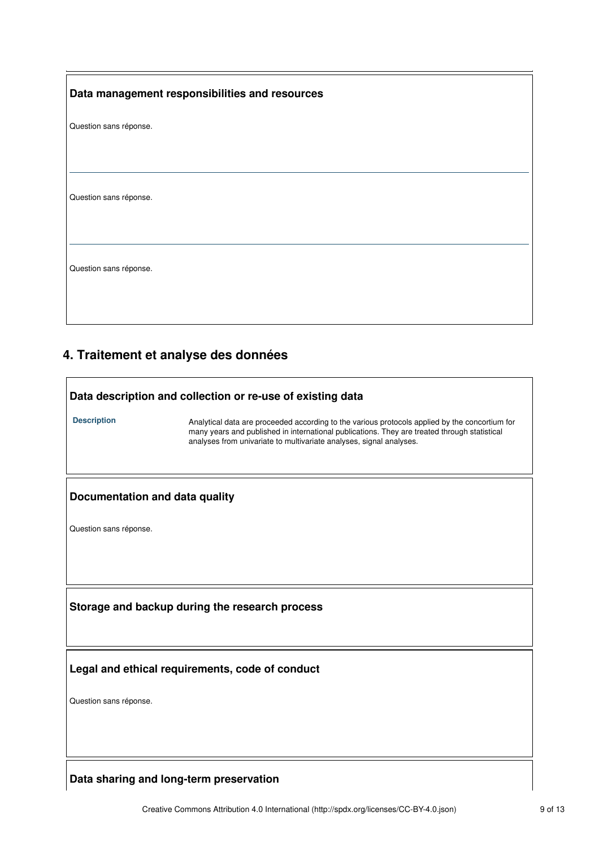| Data management responsibilities and resources |
|------------------------------------------------|
| Question sans réponse.                         |
|                                                |
| Question sans réponse.                         |
|                                                |
| Question sans réponse.                         |
|                                                |

## **4. Traitement et analyse des données**

#### **Data description and collection or re-use of existing data**

**Description** Analytical data are proceeded according to the various protocols applied by the concortium for many years and published in international publications. They are treated through statistical analyses from univariate to multivariate analyses, signal analyses.

#### **Documentation and data quality**

Question sans réponse.

#### **Storage and backup during the research process**

#### **Legal and ethical requirements, code of conduct**

Question sans réponse.

### **Data sharing and long-term preservation**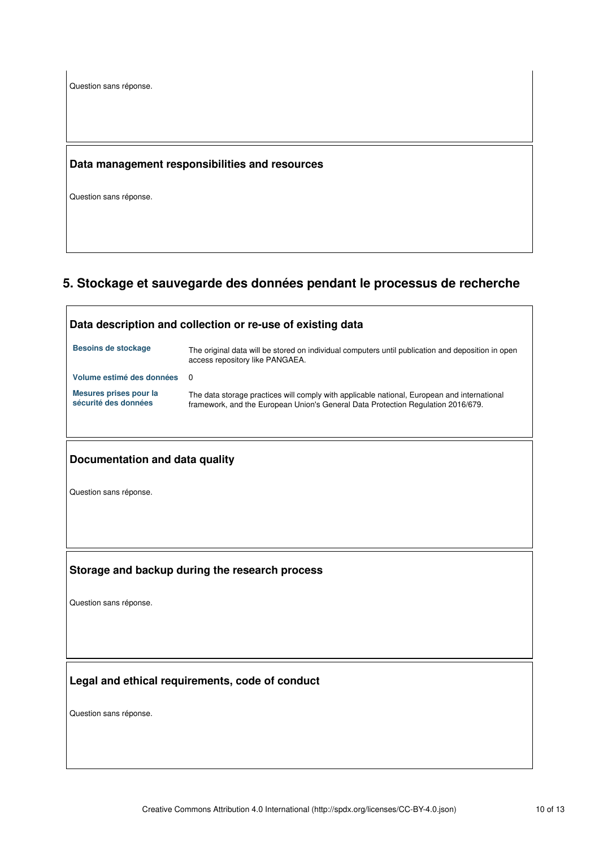# **5. Stockage et sauvegarde des données pendant le processus de recherche**

| Data description and collection or re-use of existing data |                                                                                                                                                                                 |  |  |  |
|------------------------------------------------------------|---------------------------------------------------------------------------------------------------------------------------------------------------------------------------------|--|--|--|
| <b>Besoins de stockage</b>                                 | The original data will be stored on individual computers until publication and deposition in open<br>access repository like PANGAEA.                                            |  |  |  |
| Volume estimé des données                                  | $\Omega$                                                                                                                                                                        |  |  |  |
| Mesures prises pour la<br>sécurité des données             | The data storage practices will comply with applicable national, European and international<br>framework, and the European Union's General Data Protection Regulation 2016/679. |  |  |  |
| Documentation and data quality                             |                                                                                                                                                                                 |  |  |  |
| Question sans réponse.                                     |                                                                                                                                                                                 |  |  |  |
|                                                            |                                                                                                                                                                                 |  |  |  |
|                                                            |                                                                                                                                                                                 |  |  |  |
|                                                            | Storage and backup during the research process                                                                                                                                  |  |  |  |
| Question sans réponse.                                     |                                                                                                                                                                                 |  |  |  |
|                                                            |                                                                                                                                                                                 |  |  |  |
|                                                            |                                                                                                                                                                                 |  |  |  |
|                                                            | Legal and ethical requirements, code of conduct                                                                                                                                 |  |  |  |
| Question sans réponse.                                     |                                                                                                                                                                                 |  |  |  |
|                                                            |                                                                                                                                                                                 |  |  |  |
|                                                            |                                                                                                                                                                                 |  |  |  |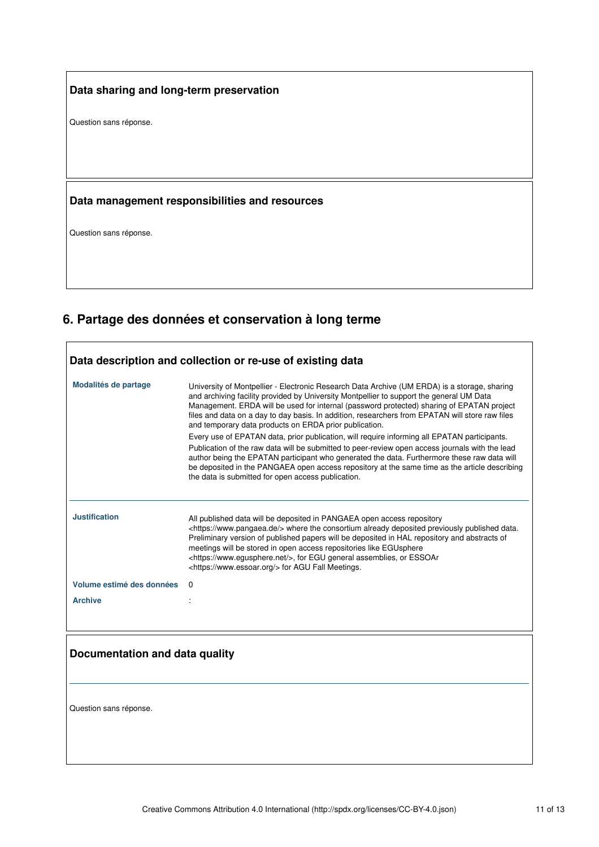|  |  |  |  | Data sharing and long-term preservation |
|--|--|--|--|-----------------------------------------|
|--|--|--|--|-----------------------------------------|

Question sans réponse.

### **Data management responsibilities and resources**

Question sans réponse.

## **6. Partage des données et conservation à long terme**

| Data description and collection or re-use of existing data |                                                                                                                                                                                                                                                                                                                                                                                                                                                                                                                                                                                                                                                                                                                                                                                                                                                                                                             |  |  |  |
|------------------------------------------------------------|-------------------------------------------------------------------------------------------------------------------------------------------------------------------------------------------------------------------------------------------------------------------------------------------------------------------------------------------------------------------------------------------------------------------------------------------------------------------------------------------------------------------------------------------------------------------------------------------------------------------------------------------------------------------------------------------------------------------------------------------------------------------------------------------------------------------------------------------------------------------------------------------------------------|--|--|--|
| Modalités de partage                                       | University of Montpellier - Electronic Research Data Archive (UM ERDA) is a storage, sharing<br>and archiving facility provided by University Montpellier to support the general UM Data<br>Management. ERDA will be used for internal (password protected) sharing of EPATAN project<br>files and data on a day to day basis. In addition, researchers from EPATAN will store raw files<br>and temporary data products on ERDA prior publication.<br>Every use of EPATAN data, prior publication, will require informing all EPATAN participants.<br>Publication of the raw data will be submitted to peer-review open access journals with the lead<br>author being the EPATAN participant who generated the data. Furthermore these raw data will<br>be deposited in the PANGAEA open access repository at the same time as the article describing<br>the data is submitted for open access publication. |  |  |  |
| <b>Justification</b>                                       | All published data will be deposited in PANGAEA open access repository<br><https: www.pangaea.de=""></https:> where the consortium already deposited previously published data.<br>Preliminary version of published papers will be deposited in HAL repository and abstracts of<br>meetings will be stored in open access repositories like EGUsphere<br><https: www.equsphere.net=""></https:> , for EGU general assemblies, or ESSOAr<br><https: www.essoar.org=""></https:> for AGU Fall Meetings.                                                                                                                                                                                                                                                                                                                                                                                                       |  |  |  |
| Volume estimé des données                                  | $\Omega$                                                                                                                                                                                                                                                                                                                                                                                                                                                                                                                                                                                                                                                                                                                                                                                                                                                                                                    |  |  |  |
| <b>Archive</b>                                             |                                                                                                                                                                                                                                                                                                                                                                                                                                                                                                                                                                                                                                                                                                                                                                                                                                                                                                             |  |  |  |
| Documentation and data quality                             |                                                                                                                                                                                                                                                                                                                                                                                                                                                                                                                                                                                                                                                                                                                                                                                                                                                                                                             |  |  |  |
| Question sans réponse.                                     |                                                                                                                                                                                                                                                                                                                                                                                                                                                                                                                                                                                                                                                                                                                                                                                                                                                                                                             |  |  |  |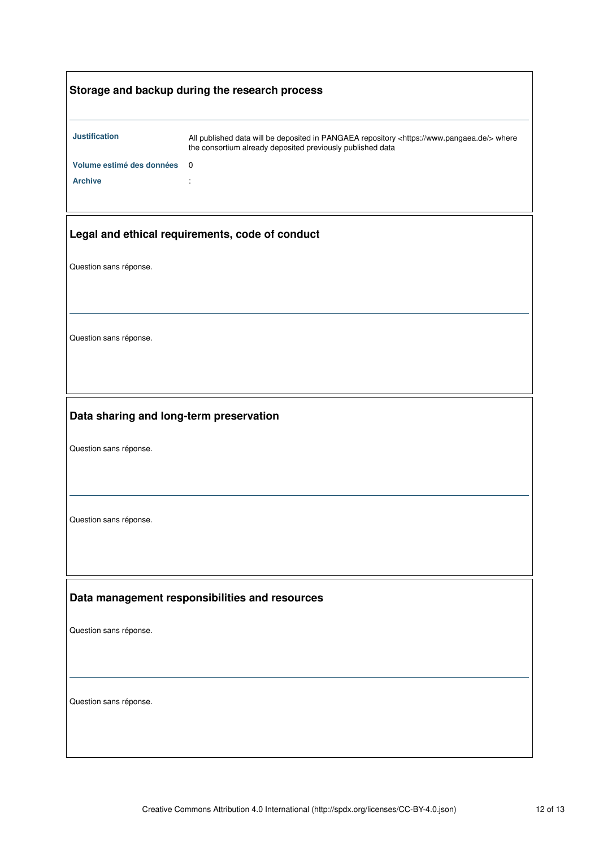|                                                                   | Storage and backup during the research process                                                                                                                     |  |  |  |
|-------------------------------------------------------------------|--------------------------------------------------------------------------------------------------------------------------------------------------------------------|--|--|--|
| <b>Justification</b>                                              | All published data will be deposited in PANGAEA repository <https: www.pangaea.de=""></https:> where<br>the consortium already deposited previously published data |  |  |  |
| Volume estimé des données                                         | 0                                                                                                                                                                  |  |  |  |
| <b>Archive</b>                                                    |                                                                                                                                                                    |  |  |  |
|                                                                   | Legal and ethical requirements, code of conduct                                                                                                                    |  |  |  |
| Question sans réponse.                                            |                                                                                                                                                                    |  |  |  |
| Question sans réponse.                                            |                                                                                                                                                                    |  |  |  |
| Data sharing and long-term preservation<br>Question sans réponse. |                                                                                                                                                                    |  |  |  |
|                                                                   |                                                                                                                                                                    |  |  |  |
| Question sans réponse.                                            |                                                                                                                                                                    |  |  |  |
| Data management responsibilities and resources                    |                                                                                                                                                                    |  |  |  |
| Question sans réponse.                                            |                                                                                                                                                                    |  |  |  |
| Question sans réponse.                                            |                                                                                                                                                                    |  |  |  |
|                                                                   |                                                                                                                                                                    |  |  |  |